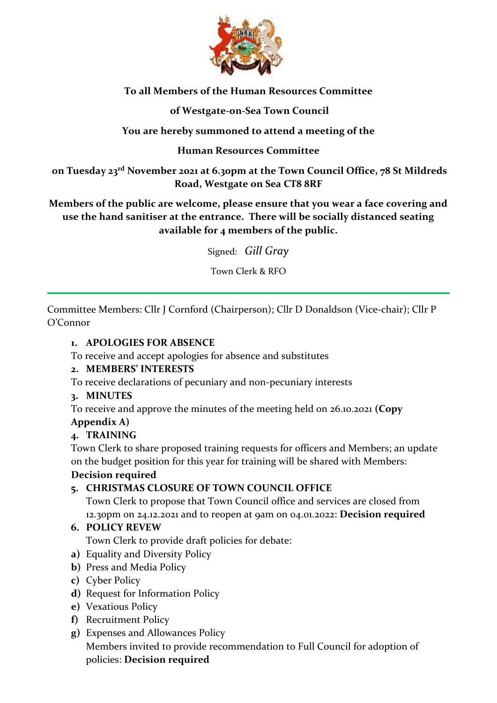

# **To all Members of the Human Resources Committee**

# **of Westgate-on-Sea Town Council**

# **You are hereby summoned to attend a meeting of the**

## **Human Resources Committee**

**on Tuesday 23 rd November 2021 at 6.30pm at the Town Council Office, 78 St Mildreds Road, Westgate on Sea CT8 8RF**

**Members of the public are welcome, please ensure that you wear a face covering and use the hand sanitiser at the entrance. There will be socially distanced seating available for 4 members of the public.** 

Signed: *Gill Gray*

Town Clerk & RFO

Committee Members: Cllr J Cornford (Chairperson); Cllr D Donaldson (Vice-chair); Cllr P O'Connor

## **1. APOLOGIES FOR ABSENCE**

To receive and accept apologies for absence and substitutes

## **2. MEMBERS' INTERESTS**

To receive declarations of pecuniary and non-pecuniary interests

## **3. MINUTES**

To receive and approve the minutes of the meeting held on 26.10.2021 **(Copy** 

## **Appendix A)**

## **4. TRAINING**

Town Clerk to share proposed training requests for officers and Members; an update on the budget position for this year for training will be shared with Members:

## **Decision required**

## **5. CHRISTMAS CLOSURE OF TOWN COUNCIL OFFICE**

Town Clerk to propose that Town Council office and services are closed from 12.30pm on 24.12.2021 and to reopen at 9am on 04.01.2022: **Decision required**

## **6. POLICY REVEW**

Town Clerk to provide draft policies for debate:

- **a)** Equality and Diversity Policy
- **b)** Press and Media Policy
- **c)** Cyber Policy
- **d)** Request for Information Policy
- **e)** Vexatious Policy
- **f)** Recruitment Policy
- **g)** Expenses and Allowances Policy Members invited to provide recommendation to Full Council for adoption of policies: **Decision required**